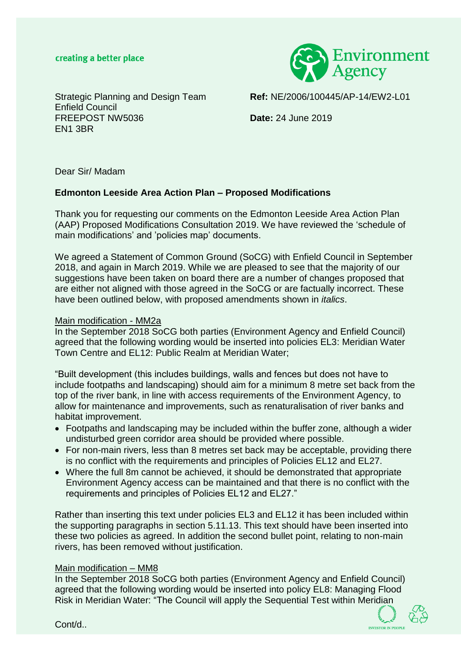## creating a better place



Enfield Council FREEPOST NW5036 **Date:** 24 June 2019 EN1 3BR

Strategic Planning and Design Team **Ref:** NE/2006/100445/AP-14/EW2-L01

Dear Sir/ Madam

## **Edmonton Leeside Area Action Plan – Proposed Modifications**

Thank you for requesting our comments on the Edmonton Leeside Area Action Plan (AAP) Proposed Modifications Consultation 2019. We have reviewed the 'schedule of main modifications' and 'policies map' documents.

We agreed a Statement of Common Ground (SoCG) with Enfield Council in September 2018, and again in March 2019. While we are pleased to see that the majority of our suggestions have been taken on board there are a number of changes proposed that are either not aligned with those agreed in the SoCG or are factually incorrect. These have been outlined below, with proposed amendments shown in *italics*.

### Main modification - MM2a

In the September 2018 SoCG both parties (Environment Agency and Enfield Council) agreed that the following wording would be inserted into policies EL3: Meridian Water Town Centre and EL12: Public Realm at Meridian Water;

"Built development (this includes buildings, walls and fences but does not have to include footpaths and landscaping) should aim for a minimum 8 metre set back from the top of the river bank, in line with access requirements of the Environment Agency, to allow for maintenance and improvements, such as renaturalisation of river banks and habitat improvement.

- Footpaths and landscaping may be included within the buffer zone, although a wider undisturbed green corridor area should be provided where possible.
- For non-main rivers, less than 8 metres set back may be acceptable, providing there is no conflict with the requirements and principles of Policies EL12 and EL27.
- Where the full 8m cannot be achieved, it should be demonstrated that appropriate Environment Agency access can be maintained and that there is no conflict with the requirements and principles of Policies EL12 and EL27."

Rather than inserting this text under policies EL3 and EL12 it has been included within the supporting paragraphs in section 5.11.13. This text should have been inserted into these two policies as agreed. In addition the second bullet point, relating to non-main rivers, has been removed without justification.

#### Main modification – MM8

In the September 2018 SoCG both parties (Environment Agency and Enfield Council) agreed that the following wording would be inserted into policy EL8: Managing Flood Risk in Meridian Water: "The Council will apply the Sequential Test within Meridian



Cont/d..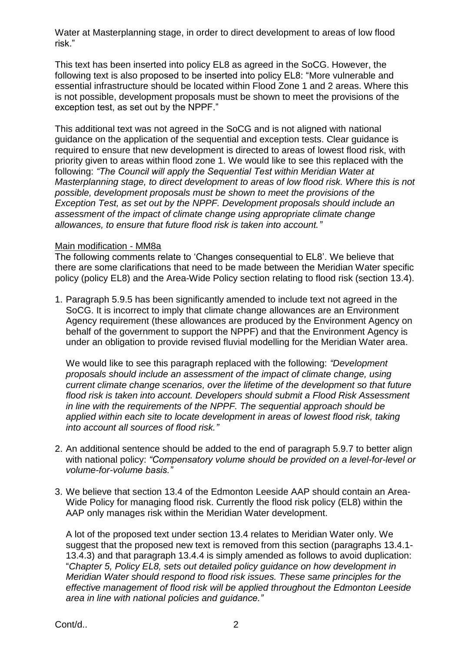Water at Masterplanning stage, in order to direct development to areas of low flood risk."

This text has been inserted into policy EL8 as agreed in the SoCG. However, the following text is also proposed to be inserted into policy EL8: "More vulnerable and essential infrastructure should be located within Flood Zone 1 and 2 areas. Where this is not possible, development proposals must be shown to meet the provisions of the exception test, as set out by the NPPF."

This additional text was not agreed in the SoCG and is not aligned with national guidance on the application of the sequential and exception tests. Clear guidance is required to ensure that new development is directed to areas of lowest flood risk, with priority given to areas within flood zone 1. We would like to see this replaced with the following: *"The Council will apply the Sequential Test within Meridian Water at Masterplanning stage, to direct development to areas of low flood risk. Where this is not possible, development proposals must be shown to meet the provisions of the Exception Test, as set out by the NPPF. Development proposals should include an assessment of the impact of climate change using appropriate climate change allowances, to ensure that future flood risk is taken into account."*

## Main modification - MM8a

The following comments relate to 'Changes consequential to EL8'. We believe that there are some clarifications that need to be made between the Meridian Water specific policy (policy EL8) and the Area-Wide Policy section relating to flood risk (section 13.4).

1. Paragraph 5.9.5 has been significantly amended to include text not agreed in the SoCG. It is incorrect to imply that climate change allowances are an Environment Agency requirement (these allowances are produced by the Environment Agency on behalf of the government to support the NPPF) and that the Environment Agency is under an obligation to provide revised fluvial modelling for the Meridian Water area.

We would like to see this paragraph replaced with the following: *"Development proposals should include an assessment of the impact of climate change, using current climate change scenarios, over the lifetime of the development so that future flood risk is taken into account. Developers should submit a Flood Risk Assessment in line with the requirements of the NPPF. The sequential approach should be applied within each site to locate development in areas of lowest flood risk, taking into account all sources of flood risk."*

- 2. An additional sentence should be added to the end of paragraph 5.9.7 to better align with national policy: *"Compensatory volume should be provided on a level-for-level or volume-for-volume basis."*
- 3. We believe that section 13.4 of the Edmonton Leeside AAP should contain an Area-Wide Policy for managing flood risk. Currently the flood risk policy (EL8) within the AAP only manages risk within the Meridian Water development.

A lot of the proposed text under section 13.4 relates to Meridian Water only. We suggest that the proposed new text is removed from this section (paragraphs 13.4.1- 13.4.3) and that paragraph 13.4.4 is simply amended as follows to avoid duplication: "*Chapter 5, Policy EL8, sets out detailed policy guidance on how development in Meridian Water should respond to flood risk issues. These same principles for the effective management of flood risk will be applied throughout the Edmonton Leeside area in line with national policies and guidance."*